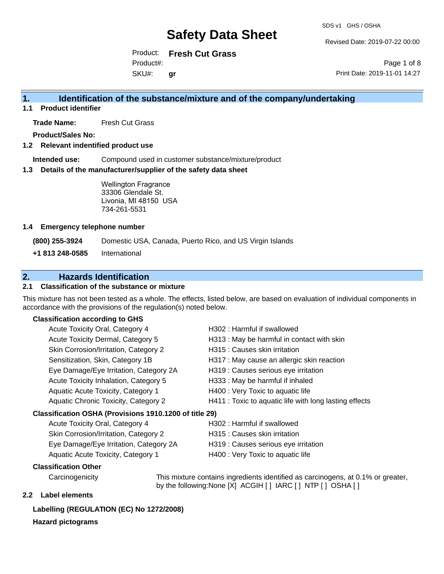Revised Date: 2019-07-22 00:00

Product: **Fresh Cut Grass** SKU#: Product#: **gr**

Page 1 of 8 Print Date: 2019-11-01 14:27

### **1. Identification of the substance/mixture and of the company/undertaking**

**1.1 Product identifier**

**Trade Name:** Fresh Cut Grass

**Product/Sales No:**

#### **1.2 Relevant indentified product use**

**Intended use:** Compound used in customer substance/mixture/product

#### **1.3 Details of the manufacturer/supplier of the safety data sheet**

Wellington Fragrance 33306 Glendale St. Livonia, MI 48150 USA 734-261-5531

#### **1.4 Emergency telephone number**

**(800) 255-3924** Domestic USA, Canada, Puerto Rico, and US Virgin Islands

**+1 813 248-0585** International

### **2. Hazards Identification**

#### **2.1 Classification of the substance or mixture**

This mixture has not been tested as a whole. The effects, listed below, are based on evaluation of individual components in accordance with the provisions of the regulation(s) noted below.

### **Classification according to GHS**

| H302: Harmful if swallowed                             |
|--------------------------------------------------------|
| H313 : May be harmful in contact with skin             |
| H315 : Causes skin irritation                          |
| H317 : May cause an allergic skin reaction             |
| H319 : Causes serious eye irritation                   |
| H333: May be harmful if inhaled                        |
| H400 : Very Toxic to aquatic life                      |
| H411 : Toxic to aquatic life with long lasting effects |
| Classification OSHA (Provisions 1910.1200 of title 29) |
| H302 : Harmful if swallowed                            |
|                                                        |

| Acute Toxicity Oral, Category 4        | H302 : Harmful if swallowed          |
|----------------------------------------|--------------------------------------|
| Skin Corrosion/Irritation, Category 2  | H315 : Causes skin irritation        |
| Eye Damage/Eye Irritation, Category 2A | H319 : Causes serious eye irritation |
| Aquatic Acute Toxicity, Category 1     | H400 : Very Toxic to aquatic life    |

#### **Classification Other**

Carcinogenicity This mixture contains ingredients identified as carcinogens, at 0.1% or greater, by the following:None [X] ACGIH [ ] IARC [ ] NTP [ ] OSHA [ ]

#### **2.2 Label elements**

### **Labelling (REGULATION (EC) No 1272/2008)**

#### **Hazard pictograms**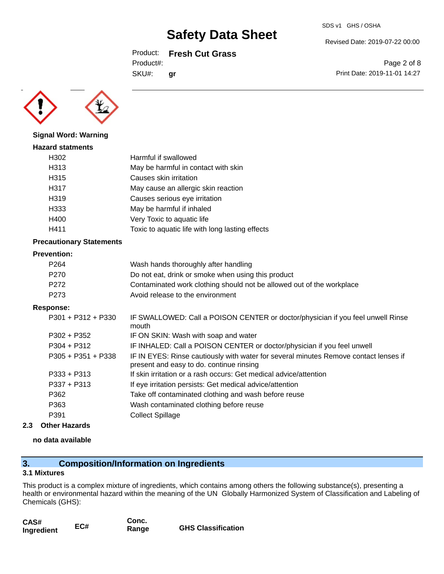### Product: **Fresh Cut Grass**

**gr**

Product#:

SKU#:

Page 2 of 8

Revised Date: 2019-07-22 00:00

Print Date: 2019-11-01 14:27



**Signal Word: Warning**

## **Hazard statments** H302 Harmful if swallowed H313 May be harmful in contact with skin H315 Causes skin irritation H317 May cause an allergic skin reaction H319 Causes serious eye irritation H333 May be harmful if inhaled H400 Very Toxic to aquatic life H411 Toxic to aquatic life with long lasting effects

### **Precautionary Statements**

#### **Prevention:**

| P <sub>264</sub> | Wash hands thoroughly after handling                                  |
|------------------|-----------------------------------------------------------------------|
| P270             | Do not eat, drink or smoke when using this product                    |
| P272             | Contaminated work clothing should not be allowed out of the workplace |
| P273             | Avoid release to the environment                                      |

#### **Response:**

| $P301 + P312 + P330$ | IF SWALLOWED: Call a POISON CENTER or doctor/physician if you feel unwell Rinse<br>mouth                                         |
|----------------------|----------------------------------------------------------------------------------------------------------------------------------|
| $P302 + P352$        | IF ON SKIN: Wash with soap and water                                                                                             |
| $P304 + P312$        | IF INHALED: Call a POISON CENTER or doctor/physician if you feel unwell                                                          |
| $P305 + P351 + P338$ | IF IN EYES: Rinse cautiously with water for several minutes Remove contact lenses if<br>present and easy to do. continue rinsing |
| $P333 + P313$        | If skin irritation or a rash occurs: Get medical advice/attention                                                                |
| $P337 + P313$        | If eye irritation persists: Get medical advice/attention                                                                         |
| P362                 | Take off contaminated clothing and wash before reuse                                                                             |
| P363                 | Wash contaminated clothing before reuse                                                                                          |
| P391                 | <b>Collect Spillage</b>                                                                                                          |
|                      |                                                                                                                                  |

#### **2.3 Other Hazards**

#### **no data available**

## **3. Composition/Information on Ingredients**

#### **3.1 Mixtures**

This product is a complex mixture of ingredients, which contains among others the following substance(s), presenting a health or environmental hazard within the meaning of the UN Globally Harmonized System of Classification and Labeling of Chemicals (GHS):

| CAS#       |     | Conc. |                           |
|------------|-----|-------|---------------------------|
| Ingredient | EC# | Range | <b>GHS Classification</b> |

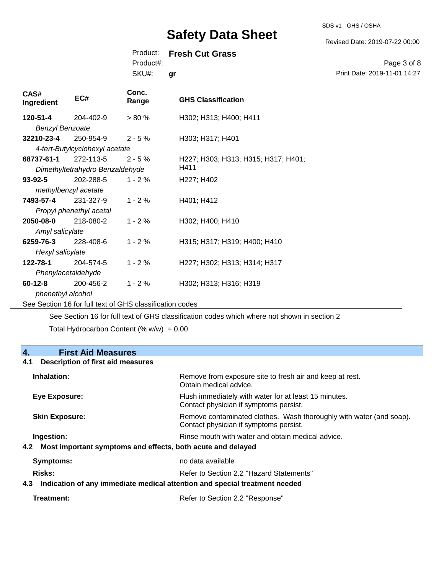SDS v1 GHS / OSHA

Revised Date: 2019-07-22 00:00

Product: **Fresh Cut Grass**

Product#:

SKU#: **gr**

Page 3 of 8 Print Date: 2019-11-01 14:27

| CAS#<br>Ingredient     | EC#                                                      | Conc.<br>Range | <b>GHS Classification</b>           |
|------------------------|----------------------------------------------------------|----------------|-------------------------------------|
| 120-51-4               | 204-402-9                                                | $> 80 \%$      | H302; H313; H400; H411              |
| <b>Benzyl Benzoate</b> |                                                          |                |                                     |
| 32210-23-4             | 250-954-9                                                | $2 - 5%$       | H303; H317; H401                    |
|                        | 4-tert-Butylcyclohexyl acetate                           |                |                                     |
| 68737-61-1             | 272-113-5                                                | $2 - 5%$       | H227; H303; H313; H315; H317; H401; |
|                        | Dimethyltetrahydro Benzaldehyde                          |                | H411                                |
| $93 - 92 - 5$          | 202-288-5                                                | $1 - 2 \%$     | H227; H402                          |
|                        | methylbenzyl acetate                                     |                |                                     |
| 7493-57-4              | 231-327-9                                                | $1 - 2%$       | H401; H412                          |
|                        | Propyl phenethyl acetal                                  |                |                                     |
| 2050-08-0              | 218-080-2                                                | $1 - 2%$       | H302; H400; H410                    |
| Amyl salicylate        |                                                          |                |                                     |
| 6259-76-3              | 228-408-6                                                | $1 - 2%$       | H315; H317; H319; H400; H410        |
| Hexyl salicylate       |                                                          |                |                                     |
| 122-78-1               | 204-574-5                                                | $1 - 2%$       | H227; H302; H313; H314; H317        |
|                        | Phenylacetaldehyde                                       |                |                                     |
| $60 - 12 - 8$          | 200-456-2                                                | $1 - 2%$       | H302; H313; H316; H319              |
| phenethyl alcohol      |                                                          |                |                                     |
|                        | See Section 16 for full text of GHS classification codes |                |                                     |

See Section 16 for full text of GHS classification codes which where not shown in section 2

Total Hydrocarbon Content  $(\% w/w) = 0.00$ 

# **4. First Aid Measures 4.1 Description of first aid measures Inhalation:** Remove from exposure site to fresh air and keep at rest. Obtain medical advice. **Eye Exposure:** Flush immediately with water for at least 15 minutes. Contact physician if symptoms persist. **Skin Exposure: Remove contaminated clothes. Wash thoroughly with water (and soap).** Remove contaminated clothes. Wash thoroughly with water (and soap). Contact physician if symptoms persist. **Ingestion: Rinse mouth with water and obtain medical advice. In all of the state of the Ringestian Medical advice. 4.2 Most important symptoms and effects, both acute and delayed Symptoms:** no data available **Risks:** Risks: Refer to Section 2.2 "Hazard Statements" **4.3 Indication of any immediate medical attention and special treatment needed** Treatment: Treatment: Treatment: Refer to Section 2.2 "Response"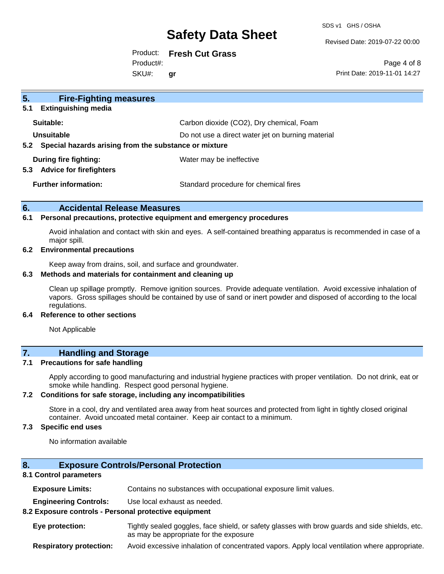SDS v1 GHS / OSHA

Revised Date: 2019-07-22 00:00

Product: **Fresh Cut Grass** SKU#: Product#: **gr**

Page 4 of 8 Print Date: 2019-11-01 14:27

| 5 <sub>1</sub><br><b>Fire-Fighting measures</b>                        |                                                   |
|------------------------------------------------------------------------|---------------------------------------------------|
| <b>Extinguishing media</b><br>5.1                                      |                                                   |
| Suitable:                                                              | Carbon dioxide (CO2), Dry chemical, Foam          |
| Unsuitable                                                             | Do not use a direct water jet on burning material |
| Special hazards arising from the substance or mixture<br>$5.2^{\circ}$ |                                                   |
| During fire fighting:<br><b>Advice for firefighters</b><br>5.3         | Water may be ineffective                          |
| <b>Further information:</b>                                            | Standard procedure for chemical fires             |

#### **6. Accidental Release Measures**

#### **6.1 Personal precautions, protective equipment and emergency procedures**

Avoid inhalation and contact with skin and eyes. A self-contained breathing apparatus is recommended in case of a major spill.

#### **6.2 Environmental precautions**

Keep away from drains, soil, and surface and groundwater.

#### **6.3 Methods and materials for containment and cleaning up**

Clean up spillage promptly. Remove ignition sources. Provide adequate ventilation. Avoid excessive inhalation of vapors. Gross spillages should be contained by use of sand or inert powder and disposed of according to the local regulations.

#### **6.4 Reference to other sections**

Not Applicable

### **7. Handling and Storage**

#### **7.1 Precautions for safe handling**

Apply according to good manufacturing and industrial hygiene practices with proper ventilation. Do not drink, eat or smoke while handling. Respect good personal hygiene.

#### **7.2 Conditions for safe storage, including any incompatibilities**

Store in a cool, dry and ventilated area away from heat sources and protected from light in tightly closed original container. Avoid uncoated metal container. Keep air contact to a minimum.

#### **7.3 Specific end uses**

No information available

#### **8. Exposure Controls/Personal Protection**

#### **8.1 Control parameters**

**Exposure Limits:** Contains no substances with occupational exposure limit values.

**Engineering Controls:** Use local exhaust as needed.

#### **8.2 Exposure controls - Personal protective equipment**

**Eye protection:** Tightly sealed goggles, face shield, or safety glasses with brow guards and side shields, etc. as may be appropriate for the exposure

**Respiratory protection:** Avoid excessive inhalation of concentrated vapors. Apply local ventilation where appropriate.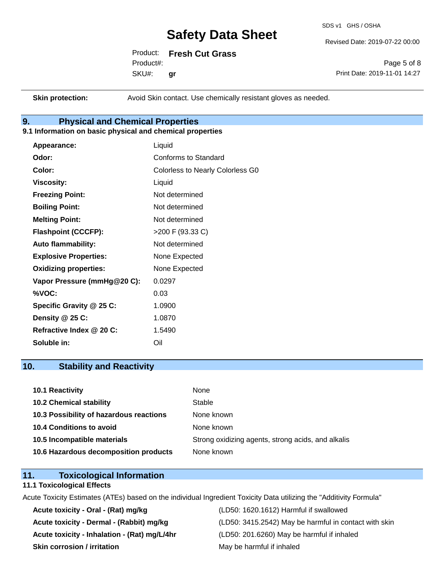SDS v1 GHS / OSHA

Revised Date: 2019-07-22 00:00

Product: **Fresh Cut Grass** SKU#: Product#: **gr**

Page 5 of 8 Print Date: 2019-11-01 14:27

**Skin protection:** Avoid Skin contact. Use chemically resistant gloves as needed.

### **9. Physical and Chemical Properties**

#### **9.1 Information on basic physical and chemical properties**

| Appearance:                  | Liquid                                  |
|------------------------------|-----------------------------------------|
| Odor:                        | Conforms to Standard                    |
| Color:                       | <b>Colorless to Nearly Colorless G0</b> |
| <b>Viscosity:</b>            | Liquid                                  |
| <b>Freezing Point:</b>       | Not determined                          |
| <b>Boiling Point:</b>        | Not determined                          |
| <b>Melting Point:</b>        | Not determined                          |
| <b>Flashpoint (CCCFP):</b>   | >200 F (93.33 C)                        |
| <b>Auto flammability:</b>    | Not determined                          |
| <b>Explosive Properties:</b> | None Expected                           |
| <b>Oxidizing properties:</b> | None Expected                           |
| Vapor Pressure (mmHg@20 C):  | 0.0297                                  |
| %VOC:                        | 0.03                                    |
| Specific Gravity @ 25 C:     | 1.0900                                  |
| Density $@25C$ :             | 1.0870                                  |
| Refractive Index @ 20 C:     | 1.5490                                  |
| Soluble in:                  | Oil                                     |

### **10. Stability and Reactivity**

| 10.1 Reactivity                         | None                                               |
|-----------------------------------------|----------------------------------------------------|
| <b>10.2 Chemical stability</b>          | Stable                                             |
| 10.3 Possibility of hazardous reactions | None known                                         |
| 10.4 Conditions to avoid                | None known                                         |
| 10.5 Incompatible materials             | Strong oxidizing agents, strong acids, and alkalis |
| 10.6 Hazardous decomposition products   | None known                                         |

### **11. Toxicological Information**

#### **11.1 Toxicological Effects**

Acute Toxicity Estimates (ATEs) based on the individual Ingredient Toxicity Data utilizing the "Additivity Formula"

**Acute toxicity - Oral - (Rat) mg/kg** (LD50: 1620.1612) Harmful if swallowed **Acute toxicity - Inhalation - (Rat) mg/L/4hr** (LD50: 201.6260) May be harmful if inhaled **Skin corrosion / irritation** May be harmful if inhaled

Acute toxicity - Dermal - (Rabbit) mg/kg <br>
(LD50: 3415.2542) May be harmful in contact with skin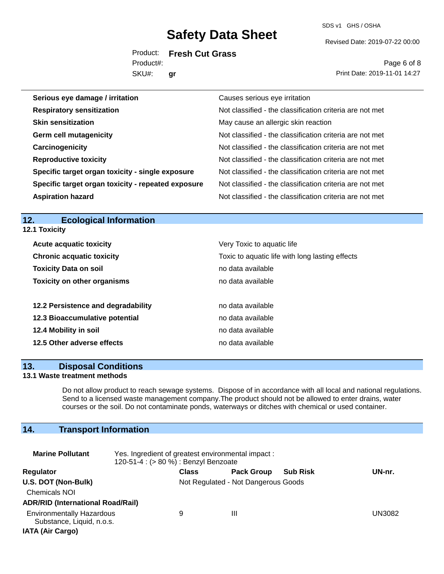SDS v1 GHS / OSHA

Revised Date: 2019-07-22 00:00

Product: **Fresh Cut Grass** SKU#: Product#: **gr**

Page 6 of 8 Print Date: 2019-11-01 14:27

| Serious eye damage / irritation                    | Causes serious eye irritation                            |
|----------------------------------------------------|----------------------------------------------------------|
| <b>Respiratory sensitization</b>                   | Not classified - the classification criteria are not met |
| <b>Skin sensitization</b>                          | May cause an allergic skin reaction                      |
| <b>Germ cell mutagenicity</b>                      | Not classified - the classification criteria are not met |
| Carcinogenicity                                    | Not classified - the classification criteria are not met |
| <b>Reproductive toxicity</b>                       | Not classified - the classification criteria are not met |
| Specific target organ toxicity - single exposure   | Not classified - the classification criteria are not met |
| Specific target organ toxicity - repeated exposure | Not classified - the classification criteria are not met |
| <b>Aspiration hazard</b>                           | Not classified - the classification criteria are not met |

#### **12. Ecological Information 12.1 Toxicity**

| <b>Acute acquatic toxicity</b>     | Very Toxic to aquatic life                      |
|------------------------------------|-------------------------------------------------|
| <b>Chronic acquatic toxicity</b>   | Toxic to aquatic life with long lasting effects |
| <b>Toxicity Data on soil</b>       | no data available                               |
| <b>Toxicity on other organisms</b> | no data available                               |
|                                    |                                                 |
| 12.2 Persistence and degradability | no data available                               |
| 12.3 Bioaccumulative potential     | no data available                               |
| 12.4 Mobility in soil              | no data available                               |
| 12.5 Other adverse effects         | no data available                               |

#### **13. Disposal Conditions**

#### **13.1 Waste treatment methods**

Do not allow product to reach sewage systems. Dispose of in accordance with all local and national regulations. Send to a licensed waste management company.The product should not be allowed to enter drains, water courses or the soil. Do not contaminate ponds, waterways or ditches with chemical or used container.

# **14. Transport Information**

| <b>Marine Pollutant</b>                                                                  | Yes. Ingredient of greatest environmental impact:<br>120-51-4 : (> 80 %) : Benzyl Benzoate |                                     |                   |                 |        |
|------------------------------------------------------------------------------------------|--------------------------------------------------------------------------------------------|-------------------------------------|-------------------|-----------------|--------|
| <b>Regulator</b>                                                                         |                                                                                            | <b>Class</b>                        | <b>Pack Group</b> | <b>Sub Risk</b> | UN-nr. |
| U.S. DOT (Non-Bulk)<br><b>Chemicals NOI</b><br><b>ADR/RID (International Road/Rail)</b>  |                                                                                            | Not Regulated - Not Dangerous Goods |                   |                 |        |
| <b>Environmentally Hazardous</b><br>Substance, Liquid, n.o.s.<br><b>IATA (Air Cargo)</b> |                                                                                            | 9                                   | Ш                 |                 | UN3082 |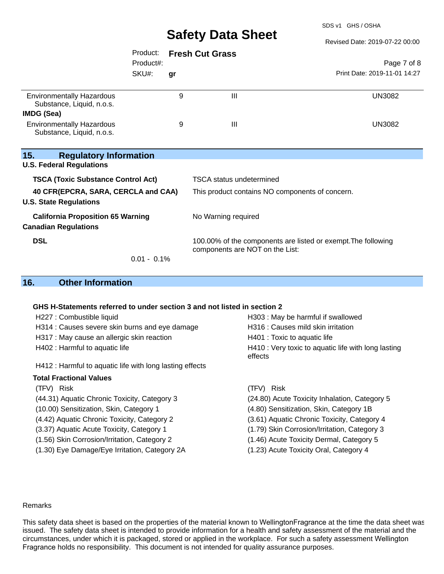SDS v1 GHS / OSHA

| Revised Date: 2019-07-22 00:00 |  |  |  |
|--------------------------------|--|--|--|
|                                |  |  |  |

|                                                                         | Product:       |    | <b>Fresh Cut Grass</b>                                                                           |                              |  |
|-------------------------------------------------------------------------|----------------|----|--------------------------------------------------------------------------------------------------|------------------------------|--|
|                                                                         | Product#:      |    |                                                                                                  | Page 7 of 8                  |  |
|                                                                         | SKU#:          | gr |                                                                                                  | Print Date: 2019-11-01 14:27 |  |
| <b>Environmentally Hazardous</b><br>Substance, Liquid, n.o.s.           |                | 9  | Ш                                                                                                | UN3082                       |  |
| <b>IMDG (Sea)</b>                                                       |                |    |                                                                                                  |                              |  |
| <b>Environmentally Hazardous</b><br>Substance, Liquid, n.o.s.           |                | 9  | Ш                                                                                                | <b>UN3082</b>                |  |
| 15.<br><b>Regulatory Information</b><br><b>U.S. Federal Regulations</b> |                |    |                                                                                                  |                              |  |
| <b>TSCA (Toxic Substance Control Act)</b>                               |                |    | <b>TSCA</b> status undetermined                                                                  |                              |  |
| 40 CFR(EPCRA, SARA, CERCLA and CAA)<br><b>U.S. State Regulations</b>    |                |    | This product contains NO components of concern.                                                  |                              |  |
| <b>California Proposition 65 Warning</b><br><b>Canadian Regulations</b> |                |    | No Warning required                                                                              |                              |  |
| <b>DSL</b>                                                              | $0.01 - 0.1\%$ |    | 100.00% of the components are listed or exempt. The following<br>components are NOT on the List: |                              |  |
|                                                                         |                |    |                                                                                                  |                              |  |

# **16. Other Information**

#### **GHS H-Statements referred to under section 3 and not listed in section 2**

| H227 : Combustible liquid                                | H303 : May be harmful if swallowed                             |
|----------------------------------------------------------|----------------------------------------------------------------|
| H314 : Causes severe skin burns and eye damage           | H316 : Causes mild skin irritation                             |
| H317 : May cause an allergic skin reaction               | H401 : Toxic to aquatic life                                   |
| H402 : Harmful to aquatic life                           | H410 : Very toxic to aquatic life with long lasting<br>effects |
| H412 : Harmful to aquatic life with long lasting effects |                                                                |
| <b>Total Fractional Values</b>                           |                                                                |
| (TFV) Risk                                               | (TFV) Risk                                                     |
| (44.31) Aquatic Chronic Toxicity, Category 3             | (24.80) Acute Toxicity Inhalation, Category 5                  |
| (10.00) Sensitization, Skin, Category 1                  | (4.80) Sensitization, Skin, Category 1B                        |
| (4.42) Aquatic Chronic Toxicity, Category 2              | (3.61) Aquatic Chronic Toxicity, Category 4                    |
| (3.37) Aquatic Acute Toxicity, Category 1                | (1.79) Skin Corrosion/Irritation, Category 3                   |
| (1.56) Skin Corrosion/Irritation, Category 2             | (1.46) Acute Toxicity Dermal, Category 5                       |
| (1.30) Eye Damage/Eye Irritation, Category 2A            | (1.23) Acute Toxicity Oral, Category 4                         |
|                                                          |                                                                |

#### Remarks

This safety data sheet is based on the properties of the material known to WellingtonFragrance at the time the data sheet was issued. The safety data sheet is intended to provide information for a health and safety assessment of the material and the circumstances, under which it is packaged, stored or applied in the workplace. For such a safety assessment Wellington Fragrance holds no responsibility. This document is not intended for quality assurance purposes.